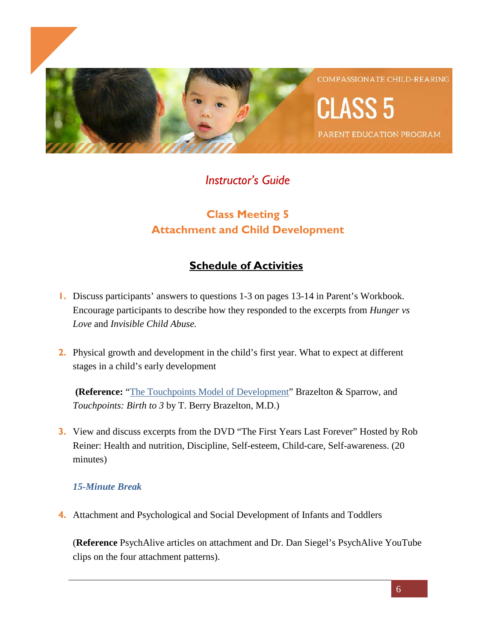

**COMPASSIONATE CHILD-REARING** 

PARENT EDUCATION PROGRAM

*Instructor's Guide*

# **Class Meeting 5 Attachment and Child Development**

# **Schedule of Activities**

- **1.** Discuss participants' answers to questions 1-3 on pages 13-14 in Parent's Workbook. Encourage participants to describe how they responded to the excerpts from *Hunger vs Love* and *Invisible Child Abuse.*
- **2.** Physical growth and development in the child's first year. What to expect at different stages in a child's early development

**(Reference:** ["The Touchpoints Model of Development"](https://ecourse.psychalive.org/wp-content/uploads/2018/04/Touchpoints_Model_of_Development1.pdf) Brazelton & Sparrow, and *Touchpoints: Birth to 3* by T. Berry Brazelton, M.D.)

**3.** View and discuss excerpts from the DVD "The First Years Last Forever" Hosted by Rob Reiner: Health and nutrition, Discipline, Self-esteem, Child-care, Self-awareness. (20 minutes)

# *15-Minute Break*

**4.** Attachment and Psychological and Social Development of Infants and Toddlers

(**Reference** PsychAlive articles on attachment and Dr. Dan Siegel's PsychAlive YouTube clips on the four attachment patterns).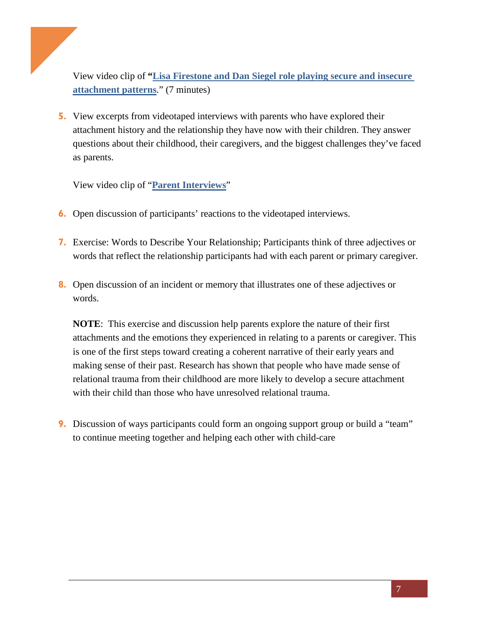View video clip of **["Lisa Firestone and Dan Siegel role playing secure and insecure](https://vimeo.com/278052394/d8fad6b962)  [attachment patterns](https://vimeo.com/278052394/d8fad6b962)**." (7 minutes)

**5.** View excerpts from videotaped interviews with parents who have explored their attachment history and the relationship they have now with their children. They answer questions about their childhood, their caregivers, and the biggest challenges they've faced as parents.

View video clip of "**[Parent Interviews](https://vimeo.com/278073533/0c9ca3436f)**"

- **6.** Open discussion of participants' reactions to the videotaped interviews.
- **7.** Exercise: Words to Describe Your Relationship; Participants think of three adjectives or words that reflect the relationship participants had with each parent or primary caregiver.
- **8.** Open discussion of an incident or memory that illustrates one of these adjectives or words.

**NOTE**: This exercise and discussion help parents explore the nature of their first attachments and the emotions they experienced in relating to a parents or caregiver. This is one of the first steps toward creating a coherent narrative of their early years and making sense of their past. Research has shown that people who have made sense of relational trauma from their childhood are more likely to develop a secure attachment with their child than those who have unresolved relational trauma.

**9.** Discussion of ways participants could form an ongoing support group or build a "team" to continue meeting together and helping each other with child-care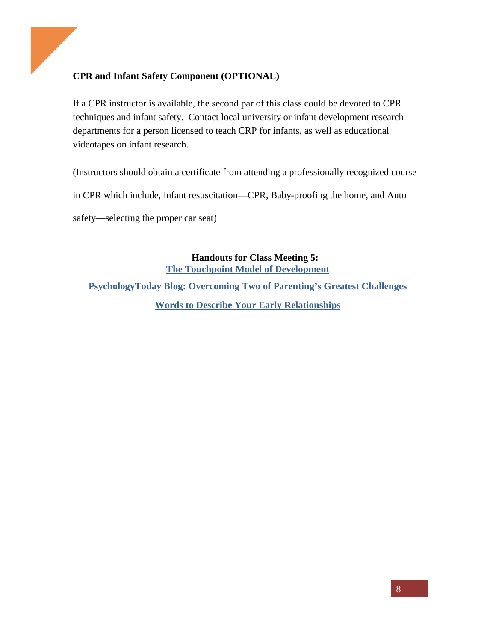# **CPR and Infant Safety Component (OPTIONAL)**

If a CPR instructor is available, the second par of this class could be devoted to CPR techniques and infant safety. Contact local university or infant development research departments for a person licensed to teach CRP for infants, as well as educational videotapes on infant research.

(Instructors should obtain a certificate from attending a professionally recognized course

in CPR which include, Infant resuscitation—CPR, Baby-proofing the home, and Auto

safety—selecting the proper car seat)

**Handouts for Class Meeting 5: [The Touchpoint Model of Development](https://ecourse.psychalive.org/wp-content/uploads/2018/04/Touchpoints_Model_of_Development1.pdf) [PsychologyToday Blog: Overcoming Two of Parenting's Greatest Challenges](https://ecourse.psychalive.org/wp-content/uploads/2018/04/Class-5-Handout-PT.pdf) [Words to Describe Your Early Relationships](https://ecourse.psychalive.org/wp-content/uploads/2018/04/Class-5-Handout-Words.pdf)**

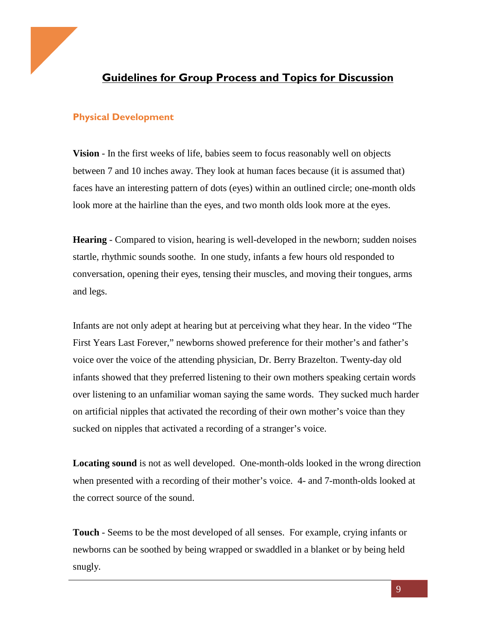

# **Guidelines for Group Process and Topics for Discussion**

## **Physical Development**

**Vision** - In the first weeks of life, babies seem to focus reasonably well on objects between 7 and 10 inches away. They look at human faces because (it is assumed that) faces have an interesting pattern of dots (eyes) within an outlined circle; one-month olds look more at the hairline than the eyes, and two month olds look more at the eyes.

**Hearing** - Compared to vision, hearing is well-developed in the newborn; sudden noises startle, rhythmic sounds soothe. In one study, infants a few hours old responded to conversation, opening their eyes, tensing their muscles, and moving their tongues, arms and legs.

Infants are not only adept at hearing but at perceiving what they hear. In the video "The First Years Last Forever," newborns showed preference for their mother's and father's voice over the voice of the attending physician, Dr. Berry Brazelton. Twenty-day old infants showed that they preferred listening to their own mothers speaking certain words over listening to an unfamiliar woman saying the same words. They sucked much harder on artificial nipples that activated the recording of their own mother's voice than they sucked on nipples that activated a recording of a stranger's voice.

**Locating sound** is not as well developed. One-month-olds looked in the wrong direction when presented with a recording of their mother's voice. 4- and 7-month-olds looked at the correct source of the sound.

**Touch** - Seems to be the most developed of all senses. For example, crying infants or newborns can be soothed by being wrapped or swaddled in a blanket or by being held snugly.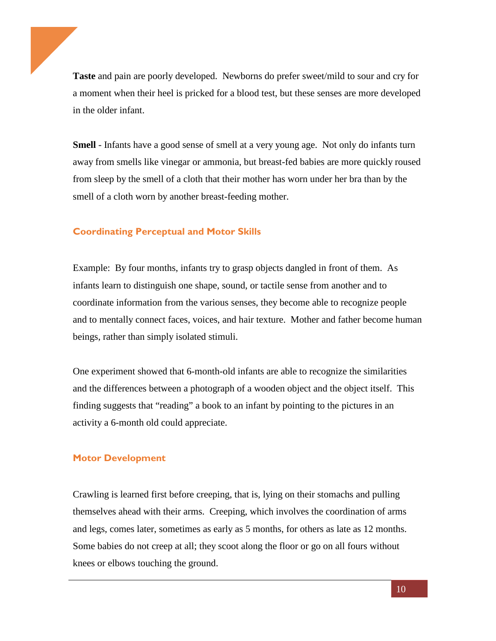**Taste** and pain are poorly developed. Newborns do prefer sweet/mild to sour and cry for a moment when their heel is pricked for a blood test, but these senses are more developed in the older infant.

**Smell** - Infants have a good sense of smell at a very young age. Not only do infants turn away from smells like vinegar or ammonia, but breast-fed babies are more quickly roused from sleep by the smell of a cloth that their mother has worn under her bra than by the smell of a cloth worn by another breast-feeding mother.

#### **Coordinating Perceptual and Motor Skills**

Example: By four months, infants try to grasp objects dangled in front of them. As infants learn to distinguish one shape, sound, or tactile sense from another and to coordinate information from the various senses, they become able to recognize people and to mentally connect faces, voices, and hair texture. Mother and father become human beings, rather than simply isolated stimuli.

One experiment showed that 6-month-old infants are able to recognize the similarities and the differences between a photograph of a wooden object and the object itself. This finding suggests that "reading" a book to an infant by pointing to the pictures in an activity a 6-month old could appreciate.

#### **Motor Development**

Crawling is learned first before creeping, that is, lying on their stomachs and pulling themselves ahead with their arms. Creeping, which involves the coordination of arms and legs, comes later, sometimes as early as 5 months, for others as late as 12 months. Some babies do not creep at all; they scoot along the floor or go on all fours without knees or elbows touching the ground.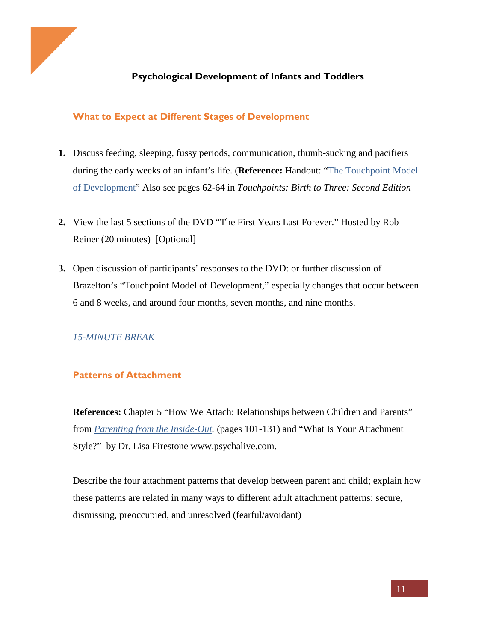

# **Psychological Development of Infants and Toddlers**

# **What to Expect at Different Stages of Development**

- **1.** Discuss feeding, sleeping, fussy periods, communication, thumb-sucking and pacifiers during the early weeks of an infant's life. (**Reference:** Handout: "The Touchpoint Model of Development" Also see pages 62-64 in *Touchpoints: Birth to Three: Second Edition*
- **2.** View the last 5 sections of the DVD "The First Years Last Forever." Hosted by Rob Reiner (20 minutes) [Optional]
- **3.** Open discussion of participants' responses to the DVD: or further discussion of Brazelton's "Touchpoint Model of Development," especially changes that occur between 6 and 8 weeks, and around four months, seven months, and nine months.

# *15-MINUTE BREAK*

# **Patterns of Attachment**

**References:** Chapter 5 "How We Attach: Relationships between Children and Parents" from *[Parenting from the Inside-Out.](https://www.amazon.com/Parenting-Inside-Out-Self-Understanding-Anniversary/dp/039916510X/ref=sr_1_3?s=books&ie=UTF8&qid=1530133423&sr=1-3&keywords=parenting+from+the+inside+out)* (pages 101-131) and "What Is Your Attachment Style?" by Dr. Lisa Firestone www.psychalive.com.

Describe the four attachment patterns that develop between parent and child; explain how these patterns are related in many ways to different adult attachment patterns: secure, dismissing, preoccupied, and unresolved (fearful/avoidant)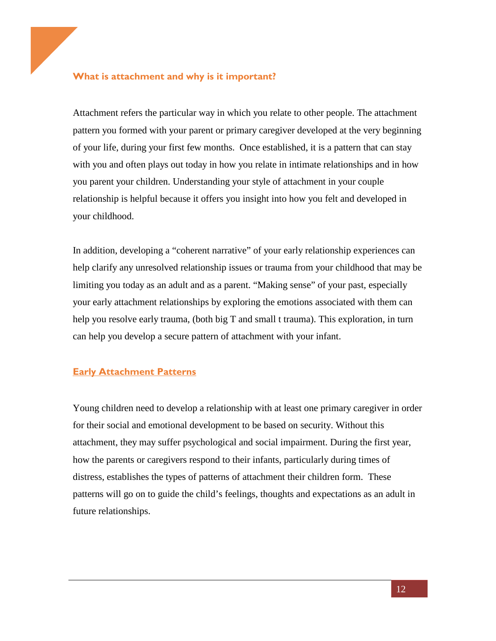### **What is attachment and why is it important?**

Attachment refers the particular way in which you relate to other people. The attachment pattern you formed with your parent or primary caregiver developed at the very beginning of your life, during your first few months. Once established, it is a pattern that can stay with you and often plays out today in how you relate in [intimate relationships](http://www.psychalive.org/category/alive-to-intimacy/) and in [how](http://www.psychalive.org/category/alive-to-parenting/)  [you parent your children.](http://www.psychalive.org/category/alive-to-parenting/) Understanding your style of attachment in your couple relationship is helpful because it offers you insight into how you felt and developed in your childhood.

In addition, developing a "coherent narrative" of your early relationship experiences can help clarify any unresolved relationship issues or trauma from your childhood that may be limiting you today as an adult and as a parent. "Making sense" of your past, especially your early attachment relationships by exploring the emotions associated with them can help you resolve early trauma, (both big T and small t trauma). This exploration, in turn can help you develop a secure pattern of attachment with your infant.

#### **Early Attachment Patterns**

Young children need to develop a relationship with at least one primary caregiver in order for their social and emotional development to be based on security. Without this attachment, they may suffer [psychological](http://en.wikipedia.org/wiki/Psychological) and [social](http://en.wikipedia.org/wiki/Social) impairment. During the first year, how the parents or caregivers respond to their infants, particularly during times of distress, establishes the types of patterns of attachment their children form. These patterns will go on to guide the child's feelings, thoughts and expectations as an adult in future relationships.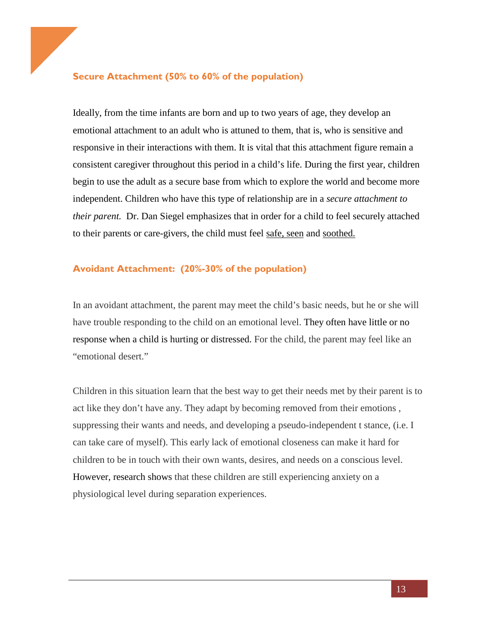#### **Secure Attachment (50% to 60% of the population)**

Ideally, from the time infants are born and up to two years of age, they develop an emotional attachment to an adult who is attuned to them, that is, who is sensitive and responsive in their [interactions](http://en.wikipedia.org/wiki/Social_interaction) with them. It is vital that this attachment figure remain a consistent caregiver throughout this period in a child's life. During the first year, children begin to use the adult as a secure base from which to explore the world and become more independent. Children who have this type of relationship are in a *secure attachment to their parent.* Dr. Dan Siegel emphasizes that in order for a child to feel securely attached to their parents or care-givers, the child must feel safe, seen and soothed.

#### **Avoidant Attachment: (20%-30% of the population)**

In an avoidant attachment, the parent may meet the child's basic needs, but he or she will have trouble responding to the child on an emotional level. They often have little or no response when a child is hurting or distressed. For the child, the parent may feel like an "emotional desert."

Children in this situation learn that the best way to get their needs met by their parent is to act like they don't have any. They adapt by becoming removed from their emotions , suppressing their wants and needs, and developing a pseudo-independent t stance, (i.e. I can take care of myself). This early lack of emotional closeness can make it hard for children to be in touch with their own wants, desires, and needs on a conscious level. However, research shows that these children are still experiencing anxiety on a physiological level during separation experiences.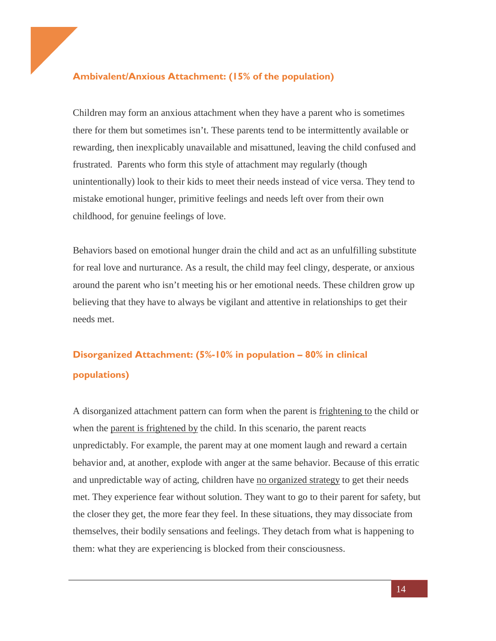## **Ambivalent/Anxious Attachment: (15% of the population)**

Children may form an anxious attachment when they have a parent who is sometimes there for them but sometimes isn't. These parents tend to be intermittently available or rewarding, then inexplicably unavailable and misattuned, leaving the child confused and frustrated. Parents who form this style of attachment may regularly (though unintentionally) look to their kids to meet their needs instead of vice versa. They tend to mistake emotional hunger, primitive feelings and needs left over from their own childhood, for genuine feelings of love.

Behaviors based on emotional hunger drain the child and act as an unfulfilling substitute for real love and nurturance. As a result, the child may feel clingy, desperate, or anxious around the parent who isn't meeting his or her emotional needs. These children grow up believing that they have to always be vigilant and attentive in relationships to get their needs met.

# **Disorganized Attachment: (5%-10% in population – 80% in clinical populations)**

A disorganized attachment pattern can form when the parent is frightening to the child or when the parent is frightened by the child. In this scenario, the parent reacts unpredictably. For example, the parent may at one moment laugh and reward a certain behavior and, at another, explode with anger at the same behavior. Because of this erratic and unpredictable way of acting, children have no organized strategy to get their needs met. They experience fear without solution. They want to go to their parent for safety, but the closer they get, the more fear they feel. In these situations, they may dissociate from themselves, their bodily sensations and feelings. They detach from what is happening to them: what they are experiencing is blocked from their consciousness.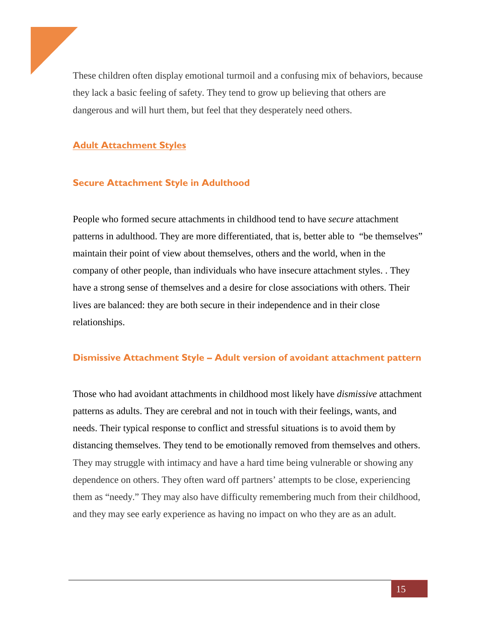These children often display emotional turmoil and a confusing mix of behaviors, because they lack a basic feeling of safety. They tend to grow up believing that others are dangerous and will hurt them, but feel that they desperately need others.

## **Adult Attachment Styles**

## **Secure Attachment Style in Adulthood**

People who formed secure attachments in childhood tend to have *secure* attachment patterns in adulthood. They are more differentiated, that is, better able to "be themselves" maintain their point of view about themselves, others and the world, when in the company of other people, than individuals who have insecure attachment styles. . They have a strong sense of themselves and a desire for close associations with others. Their lives are balanced: they are both secure in their independence and in their close relationships.

#### **Dismissive Attachment Style – Adult version of avoidant attachment pattern**

Those who had avoidant attachments in childhood most likely have *dismissive* attachment patterns as adults. They are cerebral and not in touch with their feelings, wants, and needs. Their typical response to conflict and stressful situations is to avoid them by distancing themselves. They tend to be emotionally removed from themselves and others. They may struggle with intimacy and have a hard time being vulnerable or showing any dependence on others. They often ward off partners' attempts to be close, experiencing them as "needy." They may also have difficulty remembering much from their childhood, and they may see early experience as having no impact on who they are as an adult.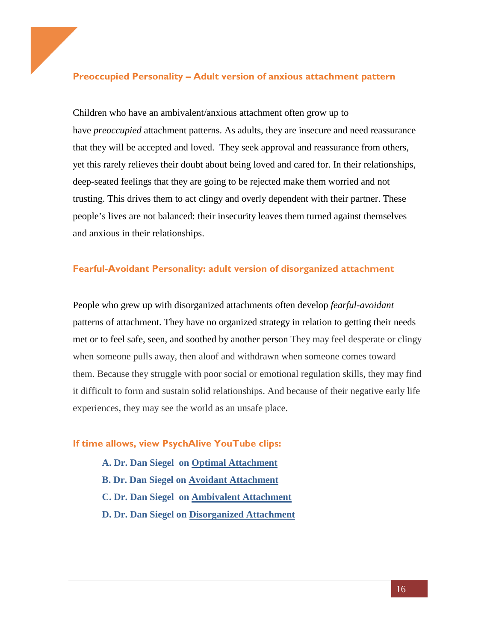### **Preoccupied Personality – Adult version of anxious attachment pattern**

Children who have an ambivalent/anxious attachment often grow up to have *preoccupied* attachment patterns. As adults, they are insecure and need reassurance that they will be accepted and loved. They seek approval and reassurance from others, yet this rarely relieves their doubt about being loved and cared for. In their relationships, deep-seated feelings that they are going to be rejected make them worried and not trusting. This drives them to act clingy and overly dependent with their partner. These people's lives are not balanced: their [insecurity](https://www.psychalive.org/how-to-overcome-insecurity/) leaves them turned against themselves and anxious in their relationships.

#### **Fearful-Avoidant Personality: adult version of disorganized attachment**

People who grew up with disorganized attachments often develop *fearful-avoidant*  patterns of attachment. They have no organized strategy in relation to getting their needs met or to feel safe, seen, and soothed by another person They may feel desperate or clingy when someone pulls away, then aloof and withdrawn when someone comes toward them. Because they struggle with poor social or emotional regulation skills, they may find it difficult to form and sustain solid relationships. And because of their negative early life experiences, they may see the world as an unsafe place.

#### **If time allows, view PsychAlive YouTube clips:**

**A. Dr. Dan Siegel on [Optimal Attachment](https://www.youtube.com/watch?v=_XjXv6zseA0) B. Dr. Dan Siegel on [Avoidant Attachment](https://www.youtube.com/watch?v=qgYJ82kQIyg) C. Dr. Dan Siegel on [Ambivalent Attachment](https://www.youtube.com/watch?v=nGhZtUrpCuc) D. Dr. Dan Siegel on [Disorganized Attachment](https://www.youtube.com/watch?v=rpQtPsuhLzc)**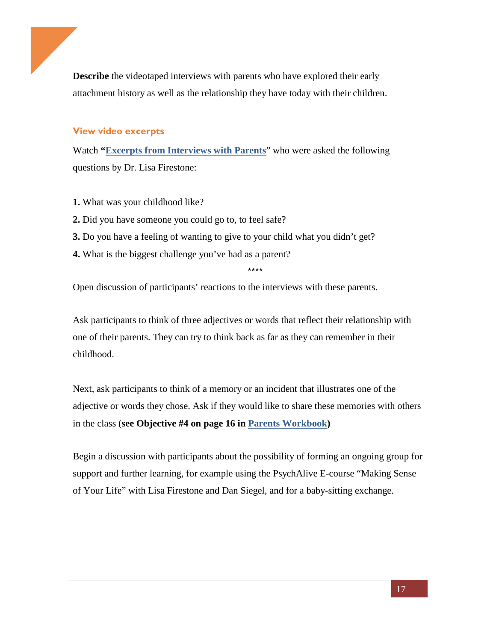**Describe** the videotaped interviews with parents who have explored their early attachment history as well as the relationship they have today with their children.

#### **View video excerpts**

Watch **["Excerpts from Interviews with](https://vimeo.com/278073533/0c9ca3436f) Parents**" who were asked the following questions by Dr. Lisa Firestone:

- **1.** What was your childhood like?
- **2.** Did you have someone you could go to, to feel safe?
- **3.** Do you have a feeling of wanting to give to your child what you didn't get?
- **4.** What is the biggest challenge you've had as a parent?

\*\*\*\*

Open discussion of participants' reactions to the interviews with these parents.

Ask participants to think of three adjectives or words that reflect their relationship with one of their parents. They can try to think back as far as they can remember in their childhood.

Next, ask participants to think of a memory or an incident that illustrates one of the adjective or words they chose. Ask if they would like to share these memories with others in the class (**see Objective #4 on page 16 in [Parents Workbook\)](https://ecourse.psychalive.org/wp-content/uploads/2018/04/Parents-Workbook-1.pdf)** 

Begin a discussion with participants about the possibility of forming an ongoing group for support and further learning, for example using the PsychAlive E-course "Making Sense of Your Life" with Lisa Firestone and Dan Siegel, and for a baby-sitting exchange.